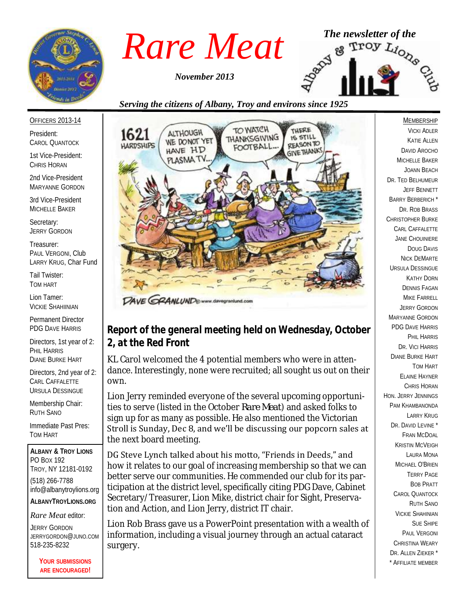

*November 2013*



## *Serving the citizens of Albany, Troy and environs since 1925*

OFFICERS 2013-14

President: CAROL QUANTOCK

1st Vice-President: CHRIS HORAN

2nd Vice-President MARYANNE GORDON

3rd Vice-President MICHELLE BAKER

Secretary: JERRY GORDON

Treasurer: PAUL VERGONI, Club LARRY KRUG, Char Fund

Tail Twister: TOM HART

Lion Tamer: VICKIE SHAHIINIAN

Permanent Director PDG DAVE HARRIS

Directors, 1st year of 2: PHIL HARRIS DIANE BURKE HART

Directors, 2nd year of 2: CARL CAFFALETTE URSULA DESSINGUE

Membership Chair: RUTH SANO

Immediate Past Pres: TOM HART

**ALBANY & TROY LIONS** PO BOX 192 TROY, NY 12181-0192 (518) 266-7788 info@albanytroylions.org **ALBANYTROYLIONS.ORG**

*Rare Meat* editor:

JERRY GORDON JERRYGORDON@JUNO.COM 518-235-8232

> **YOUR SUBMISSIONS ARE ENCOURAGED!**



### DAVE GRANLUND®www.davegra

## *Report of the general meeting held on Wednesday, October 2, at the Red Front*

KL Carol welcomed the 4 potential members who were in attendance. Interestingly, none were recruited; all sought us out on their own.

Lion Jerry reminded everyone of the several upcoming opportunities to serve (listed in the October *Rare Meat*) and asked folks to sign up for as many as possible. He also mentioned the Victorian Stroll is Sunday, Dec 8, and we'll be discussing our popcorn sales at the next board meeting.

DG Steve Lynch talked about his motto, "Friends in Deeds," and how it relates to our goal of increasing membership so that we can better serve our communities. He commended our club for its participation at the district level, specifically citing PDG Dave, Cabinet Secretary/Treasurer, Lion Mike, district chair for Sight, Preservation and Action, and Lion Jerry, district IT chair.

Lion Rob Brass gave us a PowerPoint presentation with a wealth of information, including a visual journey through an actual cataract surgery.

MEMBERSHIP VICKI ADLER KATIE ALLEN DAVID AROCHO MICHELLE BAKER JOANN BEACH DR. TED BELHUMEUR JEFF BENNETT BARRY BERBERICH \* DR. ROB BRASS CHRISTOPHER BURKE CARL CAFFALETTE JANE CHOUINIERE DOUG DAVIS NICK DEMARTE URSULA DESSINGUE KATHY DORN DENNIS FAGAN MIKE FARRELL JERRY GORDON MARYANNE GORDON PDG DAVE HARRIS PHIL HARRIS DR. VICI HARRIS DIANE BURKE HART TOM HART ELAINE HAYNER CHRIS HORAN HON. JERRY JENNINGS PAM KHAMBANONDA LARRY KRUG DR. DAVID I FVINE FRAN MCDOAL KRISTIN MCVEIGH LAURA MONA MICHAEL O'BRIEN TERRY PAGE BOB PRATT CAROL QUANTOCK RUTH SANO VICKIE SHAHINIAN SUE SHIPE PAUL VERGONI CHRISTINA WEARY DR. ALLEN ZIEKER \* \* AFFILIATE MEMBER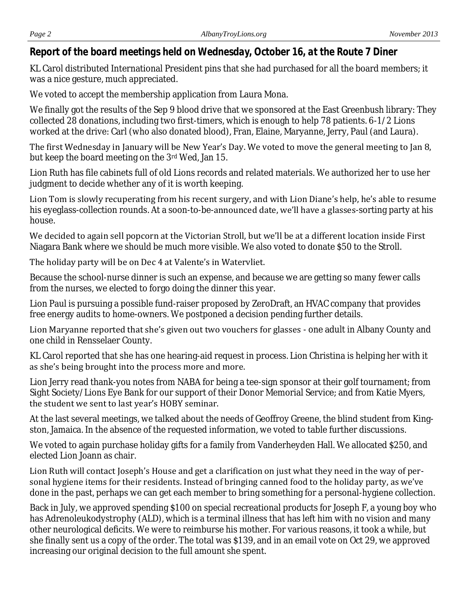## *Report of the board meetings held on Wednesday, October 16, at the Route 7 Diner*

KL Carol distributed International President pins that she had purchased for all the board members; it was a nice gesture, much appreciated.

We voted to accept the membership application from Laura Mona.

We finally got the results of the Sep 9 blood drive that we sponsored at the East Greenbush library: They collected 28 donations, including two first-timers, which is enough to help 78 patients. 6-1/2 Lions worked at the drive: Carl (who also donated blood), Fran, Elaine, Maryanne, Jerry, Paul (and Laura).

The first Wednesday in January will be New Year's Day. We voted to move the general meeting to Jan 8, but keep the board meeting on the 3rd Wed, Jan 15.

Lion Ruth has file cabinets full of old Lions records and related materials. We authorized her to use her judgment to decide whether any of it is worth keeping.

Lion Tom is slowly recuperating from his recent surgery, and with Lion Diane's help, he's able to resume his eyeglass-collection rounds. At a soon-to-be-announced date, we'll have a glasses-sorting party at his house.

We decided to again sell popcorn at the Victorian Stroll, but we'll be at a different location inside First Niagara Bank where we should be much more visible. We also voted to donate \$50 to the Stroll.

## The holiday party will be on Dec 4 at Valente's in Watervliet.

Because the school-nurse dinner is such an expense, and because we are getting so many fewer calls from the nurses, we elected to forgo doing the dinner this year.

Lion Paul is pursuing a possible fund-raiser proposed by ZeroDraft, an HVAC company that provides free energy audits to home-owners. We postponed a decision pending further details.

Lion Maryanne reported that she's given out two vouchers for glasses - one adult in Albany County and one child in Rensselaer County.

KL Carol reported that she has one hearing-aid request in process. Lion Christina is helping her with it as she's being brought into the process more and more.

Lion Jerry read thank-you notes from NABA for being a tee-sign sponsor at their golf tournament; from Sight Society/Lions Eye Bank for our support of their Donor Memorial Service; and from Katie Myers, the student we sent to last year's HOBY seminar.

At the last several meetings, we talked about the needs of Geoffroy Greene, the blind student from Kingston, Jamaica. In the absence of the requested information, we voted to table further discussions.

We voted to again purchase holiday gifts for a family from Vanderheyden Hall. We allocated \$250, and elected Lion Joann as chair.

Lion Ruth will contact Joseph's House and get a clarification on just what they need in the way of personal hygiene items for their residents. Instead of bringing canned food to the holiday party, as we've done in the past, perhaps we can get each member to bring something for a personal-hygiene collection.

Back in July, we approved spending \$100 on special recreational products for Joseph F, a young boy who has Adrenoleukodystrophy (ALD), which is a terminal illness that has left him with no vision and many other neurological deficits. We were to reimburse his mother. For various reasons, it took a while, but she finally sent us a copy of the order. The total was \$139, and in an email vote on Oct 29, we approved increasing our original decision to the full amount she spent.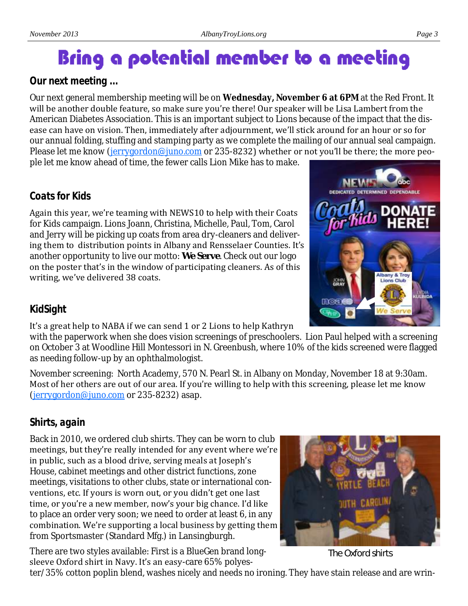# Bring a potential member to a meeting

## *Our next meeting ...*

Our next general membership meeting will be on **Wednesday, November 6 at 6PM** at the Red Front. It will be another double feature, so make sure you're there! Our speaker will be Lisa Lambert from the American Diabetes Association. This is an important subject to Lions because of the impact that the disease can have on vision. Then, immediately after adjournment, we'll stick around for an hour or so for our annual folding, stuffing and stamping party as we complete the mailing of our annual seal campaign. Please let me know [\(jerrygordon@juno.com](mailto:jerrygordon@juno.com) or 235-8232) whether or not you'll be there; the more people let me know ahead of time, the fewer calls Lion Mike has to make.

## *Coats for Kids*

Again this year, we're teaming with NEWS10 to help with their Coats for Kids campaign. Lions Joann, Christina, Michelle, Paul, Tom, Carol and Jerry will be picking up coats from area dry-cleaners and delivering them to distribution points in Albany and Rensselaer Counties. It's another opportunity to live our motto: *We Serve*. Check out our logo on the poster that's in the window of participating cleaners. As of this writing, we've delivered 38 coats.

## *KidSight*

## It's a great help to NABA if we can send 1 or 2 Lions to help Kathryn

with the paperwork when she does vision screenings of preschoolers. Lion Paul helped with a screening on October 3 at Woodline Hill Montessori in N. Greenbush, where 10% of the kids screened were flagged as needing follow-up by an ophthalmologist.

November screening: North Academy, 570 N. Pearl St. in Albany on Monday, November 18 at 9:30am. Most of her others are out of our area. If you're willing to help with this screening, please let me know [\(jerrygordon@juno.com](mailto:jerrygordon@juno.com) or 235-8232) asap.

## *Shirts, again*

Back in 2010, we ordered club shirts. They can be worn to club meetings, but they're really intended for any event where we're in public, such as a blood drive, serving meals at Joseph's House, cabinet meetings and other district functions, zone meetings, visitations to other clubs, state or international conventions, etc. If yours is worn out, or you didn't get one last time, or you're a new member, now's your big chance. I'd like to place an order very soon; we need to order at least 6, in any combination. We're supporting a local business by getting them from Sportsmaster (Standard Mfg.) in Lansingburgh.

There are two styles available: First is a BlueGen brand longsleeve Oxford shirt in Navy. It's an easy-care 65% polyes-

ter/35% cotton poplin blend, washes nicely and needs no ironing. They have stain release and are wrin-



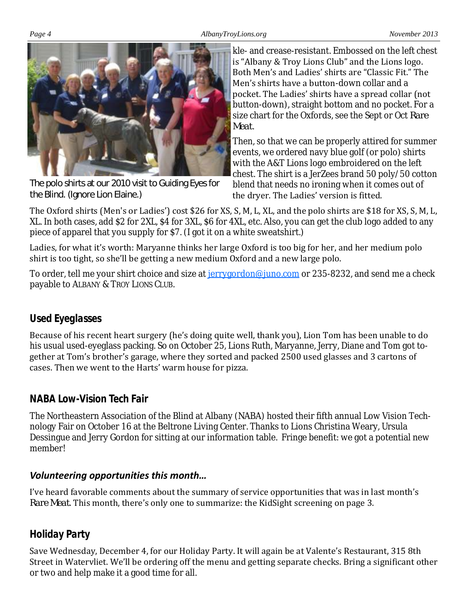#### *Page 4 AlbanyTroyLions.org November 2013*



The polo shirts at our 2010 visit to Guiding Eyes for the Blind. (Ignore Lion Elaine.)

kle- and crease-resistant. Embossed on the left chest is "Albany & Troy Lions Club" and the Lions logo. Both Men's and Ladies' shirts are "Classic Fit." The Men's shirts have a button-down collar and a pocket. The Ladies' shirts have a spread collar (not button-down), straight bottom and no pocket. For a size chart for the Oxfords, see the Sept or Oct *Rare Meat*.

Then, so that we can be properly attired for summer events, we ordered navy blue golf (or polo) shirts with the A&T Lions logo embroidered on the left chest. The shirt is a JerZees brand 50 poly/50 cotton blend that needs no ironing when it comes out of the dryer. The Ladies' version is fitted.

The Oxford shirts (Men's or Ladies') cost \$26 for XS, S, M, L, XL, and the polo shirts are \$18 for XS, S, M, L, XL. In both cases, add \$2 for 2XL, \$4 for 3XL, \$6 for 4XL, etc. Also, you can get the club logo added to any piece of apparel that you supply for \$7. (I got it on a white sweatshirt.)

Ladies, for what it's worth: Maryanne thinks her large Oxford is too big for her, and her medium polo shirt is too tight, so she'll be getting a new medium Oxford and a new large polo.

To order, tell me your shirt choice and size at [jerrygordon@juno.com](mailto:jerrygordon@juno.com) or 235-8232, and send me a check payable to ALBANY & TROY LIONS CLUB.

## *Used Eyeglasses*

Because of his recent heart surgery (he's doing quite well, thank you), Lion Tom has been unable to do his usual used-eyeglass packing. So on October 25, Lions Ruth, Maryanne, Jerry, Diane and Tom got together at Tom's brother's garage, where they sorted and packed 2500 used glasses and 3 cartons of cases. Then we went to the Harts' warm house for pizza.

## *NABA Low-Vision Tech Fair*

The Northeastern Association of the Blind at Albany (NABA) hosted their fifth annual Low Vision Technology Fair on October 16 at the Beltrone Living Center. Thanks to Lions Christina Weary, Ursula Dessingue and Jerry Gordon for sitting at our information table. Fringe benefit: we got a potential new member!

## *Volunteering opportunities this month…*

I've heard favorable comments about the summary of service opportunities that was in last month's *Rare Meat*. This month, there's only one to summarize: the KidSight screening on page 3.

## *Holiday Party*

Save Wednesday, December 4, for our Holiday Party. It will again be at Valente's Restaurant, 315 8th Street in Watervliet. We'll be ordering off the menu and getting separate checks. Bring a significant other or two and help make it a good time for all.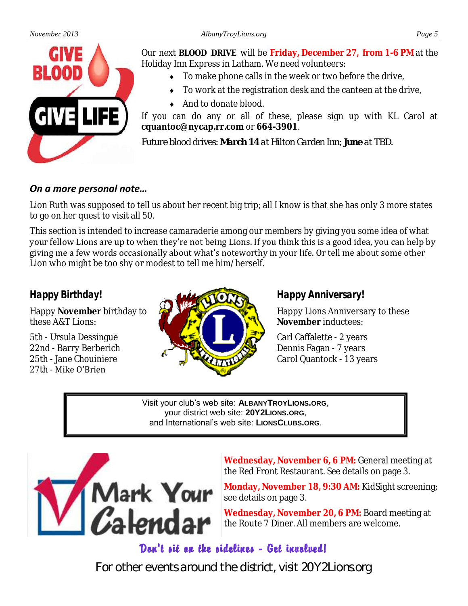

Our next **BLOOD DRIVE** will be **Friday, December 27, from 1-6 PM** at the Holiday Inn Express in Latham. We need volunteers:

- $\bullet$  To make phone calls in the week or two before the drive,
- $\bullet$  To work at the registration desk and the canteen at the drive,
- ◆ And to donate blood.

If you can do any or all of these, please sign up with KL Carol at **cquantoc@nycap.rr.com** or **664-3901**.

*Future blood drives: March 14 at Hilton Garden Inn; June at TBD.*

## *On a more personal note…*

Lion Ruth was supposed to tell us about her recent big trip; all I know is that she has only 3 more states to go on her quest to visit all 50.

This section is intended to increase camaraderie among our members by giving you some idea of what your fellow Lions are up to when they're not being Lions. If you think this is a good idea, you can help by giving me a few words occasionally about what's noteworthy in your life. Or tell me about some other Lion who might be too shy or modest to tell me him/herself.

## *Happy Birthday!*

Happy **November** birthday to these A&T Lions:

5th - Ursula Dessingue 22nd - Barry Berberich 25th - Jane Chouiniere 27th - Mike O'Brien



## *Happy Anniversary!*

Happy Lions Anniversary to these **November** inductees:

Carl Caffalette - 2 years Dennis Fagan - 7 years Carol Quantock - 13 years

Visit your club's web site: **ALBANYTROYLIONS.ORG**, your district web site: **20Y2LIONS.ORG**, and International's web site: **LIONSCLUBS.ORG**.



**Wednesday, November 6, 6 PM:** General meeting at the Red Front Restaurant. See details on page 3.

**Monday, November 18, 9:30 AM:** KidSight screening; see details on page 3.

**Wednesday, November 20, 6 PM:** Board meeting at the Route 7 Diner. All members are welcome.

## Dan't sit an the sidelines - Get invalued!

For other events around the district, visit 20Y2Lions.org